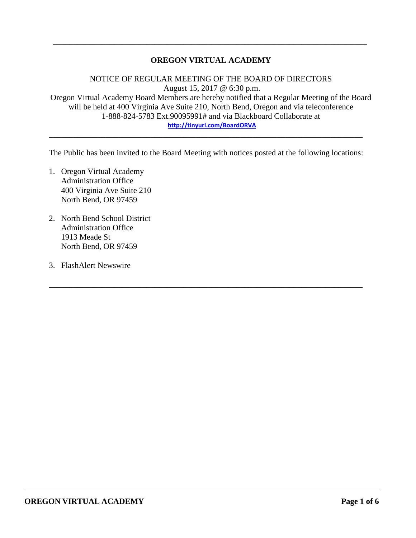## **OREGON VIRTUAL ACADEMY**

\_\_\_\_\_\_\_\_\_\_\_\_\_\_\_\_\_\_\_\_\_\_\_\_\_\_\_\_\_\_\_\_\_\_\_\_\_\_\_\_\_\_\_\_\_\_\_\_\_\_\_\_\_\_\_\_\_\_\_\_\_\_\_\_\_\_\_\_\_\_\_\_\_\_\_\_\_

NOTICE OF REGULAR MEETING OF THE BOARD OF DIRECTORS August 15, 2017 @ 6:30 p.m. Oregon Virtual Academy Board Members are hereby notified that a Regular Meeting of the Board will be held at 400 Virginia Ave Suite 210, North Bend, Oregon and via teleconference 1-888-824-5783 Ext.90095991# and via Blackboard Collaborate at **<http://tinyurl.com/BoardORVA>**

The Public has been invited to the Board Meeting with notices posted at the following locations:

\_\_\_\_\_\_\_\_\_\_\_\_\_\_\_\_\_\_\_\_\_\_\_\_\_\_\_\_\_\_\_\_\_\_\_\_\_\_\_\_\_\_\_\_\_\_\_\_\_\_\_\_\_\_\_\_\_\_\_\_\_\_\_\_\_\_\_\_\_\_\_\_\_\_\_\_\_

\_\_\_\_\_\_\_\_\_\_\_\_\_\_\_\_\_\_\_\_\_\_\_\_\_\_\_\_\_\_\_\_\_\_\_\_\_\_\_\_\_\_\_\_\_\_\_\_\_\_\_\_\_\_\_\_\_\_\_\_\_\_\_\_\_\_\_\_\_\_\_\_\_\_\_\_\_

- 1. Oregon Virtual Academy Administration Office 400 Virginia Ave Suite 210 North Bend, OR 97459
- 2. North Bend School District Administration Office 1913 Meade St North Bend, OR 97459
- 3. FlashAlert Newswire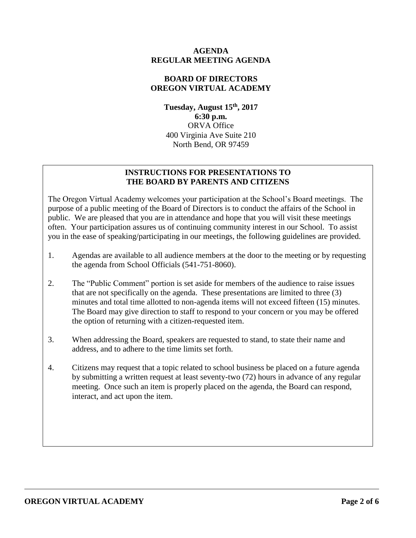#### **AGENDA REGULAR MEETING AGENDA**

# **BOARD OF DIRECTORS OREGON VIRTUAL ACADEMY**

**Tuesday, August 15 th , 2017 6:30 p.m.** ORVA Office 400 Virginia Ave Suite 210 North Bend, OR 97459

# **INSTRUCTIONS FOR PRESENTATIONS TO THE BOARD BY PARENTS AND CITIZENS**

The Oregon Virtual Academy welcomes your participation at the School's Board meetings. The purpose of a public meeting of the Board of Directors is to conduct the affairs of the School in public. We are pleased that you are in attendance and hope that you will visit these meetings often. Your participation assures us of continuing community interest in our School. To assist you in the ease of speaking/participating in our meetings, the following guidelines are provided.

- 1. Agendas are available to all audience members at the door to the meeting or by requesting the agenda from School Officials (541-751-8060).
- 2. The "Public Comment" portion is set aside for members of the audience to raise issues that are not specifically on the agenda. These presentations are limited to three (3) minutes and total time allotted to non-agenda items will not exceed fifteen (15) minutes. The Board may give direction to staff to respond to your concern or you may be offered the option of returning with a citizen-requested item.
- 3. When addressing the Board, speakers are requested to stand, to state their name and address, and to adhere to the time limits set forth.
- 4. Citizens may request that a topic related to school business be placed on a future agenda by submitting a written request at least seventy-two (72) hours in advance of any regular meeting. Once such an item is properly placed on the agenda, the Board can respond, interact, and act upon the item.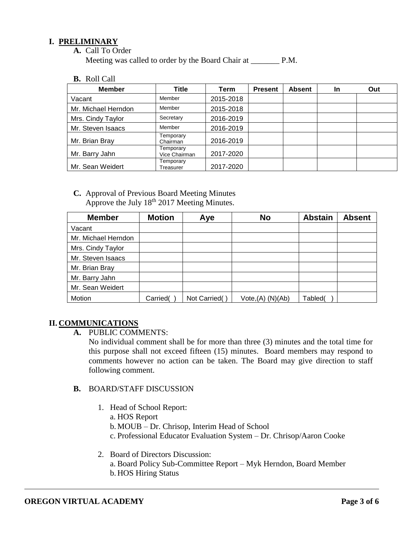## **I. PRELIMINARY**

**A.** Call To Order

Meeting was called to order by the Board Chair at P.M.

**B.** Roll Call

| <b>Member</b>       | Title                      | Term      | <b>Present</b> | <b>Absent</b> | In | Out |
|---------------------|----------------------------|-----------|----------------|---------------|----|-----|
| Vacant              | Member                     | 2015-2018 |                |               |    |     |
| Mr. Michael Herndon | Member                     | 2015-2018 |                |               |    |     |
| Mrs. Cindy Taylor   | Secretary                  | 2016-2019 |                |               |    |     |
| Mr. Steven Isaacs   | Member                     | 2016-2019 |                |               |    |     |
| Mr. Brian Bray      | Temporary<br>Chairman      | 2016-2019 |                |               |    |     |
| Mr. Barry Jahn      | Temporary<br>Vice Chairman | 2017-2020 |                |               |    |     |
| Mr. Sean Weidert    | Temporary<br>Treasurer     | 2017-2020 |                |               |    |     |

**C.** Approval of Previous Board Meeting Minutes Approve the July  $18^{th}$  2017 Meeting Minutes.

| <b>Member</b>       | <b>Motion</b> | Aye           | <b>No</b>            | <b>Abstain</b> | <b>Absent</b> |
|---------------------|---------------|---------------|----------------------|----------------|---------------|
| Vacant              |               |               |                      |                |               |
| Mr. Michael Herndon |               |               |                      |                |               |
| Mrs. Cindy Taylor   |               |               |                      |                |               |
| Mr. Steven Isaacs   |               |               |                      |                |               |
| Mr. Brian Bray      |               |               |                      |                |               |
| Mr. Barry Jahn      |               |               |                      |                |               |
| Mr. Sean Weidert    |               |               |                      |                |               |
| Motion              | Carried(      | Not Carried() | $Vote,(A)$ $(N)(Ab)$ | Tabled(        |               |

# **II. COMMUNICATIONS**

**A.** PUBLIC COMMENTS:

No individual comment shall be for more than three (3) minutes and the total time for this purpose shall not exceed fifteen (15) minutes. Board members may respond to comments however no action can be taken. The Board may give direction to staff following comment.

# **B.** BOARD/STAFF DISCUSSION

- 1. Head of School Report:
	- a. HOS Report
	- b. MOUB Dr. Chrisop, Interim Head of School
	- c. Professional Educator Evaluation System Dr. Chrisop/Aaron Cooke
- 2. Board of Directors Discussion: a. Board Policy Sub-Committee Report – Myk Herndon, Board Member b. HOS Hiring Status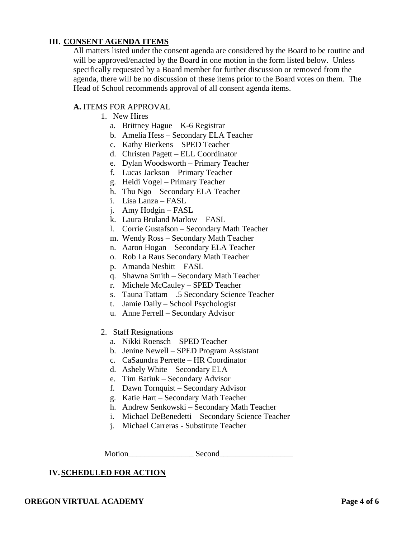## **III. CONSENT AGENDA ITEMS**

All matters listed under the consent agenda are considered by the Board to be routine and will be approved/enacted by the Board in one motion in the form listed below. Unless specifically requested by a Board member for further discussion or removed from the agenda, there will be no discussion of these items prior to the Board votes on them. The Head of School recommends approval of all consent agenda items.

#### **A.** ITEMS FOR APPROVAL

- 1. New Hires
	- a. Brittney Hague K-6 Registrar
	- b. Amelia Hess Secondary ELA Teacher
	- c. Kathy Bierkens SPED Teacher
	- d. Christen Pagett ELL Coordinator
	- e. Dylan Woodsworth Primary Teacher
	- f. Lucas Jackson Primary Teacher
	- g. Heidi Vogel Primary Teacher
	- h. Thu Ngo Secondary ELA Teacher
	- i. Lisa Lanza FASL
	- j. Amy Hodgin FASL
	- k. Laura Bruland Marlow FASL
	- l. Corrie Gustafson Secondary Math Teacher
	- m. Wendy Ross Secondary Math Teacher
	- n. Aaron Hogan Secondary ELA Teacher
	- o. Rob La Raus Secondary Math Teacher
	- p. Amanda Nesbitt FASL
	- q. Shawna Smith Secondary Math Teacher
	- r. Michele McCauley SPED Teacher
	- s. Tauna Tattam .5 Secondary Science Teacher
	- t. Jamie Daily School Psychologist
	- u. Anne Ferrell Secondary Advisor
- 2. Staff Resignations
	- a. Nikki Roensch SPED Teacher
	- b. Jenine Newell SPED Program Assistant
	- c. CaSaundra Perrette HR Coordinator
	- d. Ashely White Secondary ELA
	- e. Tim Batiuk Secondary Advisor
	- f. Dawn Tornquist Secondary Advisor
	- g. Katie Hart Secondary Math Teacher
	- h. Andrew Senkowski Secondary Math Teacher
	- i. Michael DeBenedetti Secondary Science Teacher
	- j. Michael Carreras Substitute Teacher

Motion Second

# **IV.SCHEDULED FOR ACTION**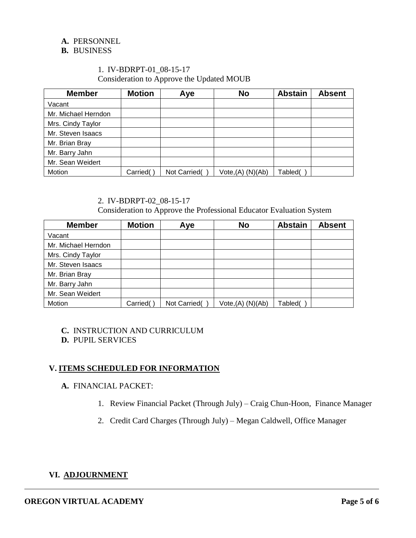### **A.** PERSONNEL

#### **B.** BUSINESS

## 1. IV-BDRPT-01\_08-15-17 Consideration to Approve the Updated MOUB

| <b>Member</b>       | <b>Motion</b> | Aye          | <b>No</b>            | <b>Abstain</b> | <b>Absent</b> |
|---------------------|---------------|--------------|----------------------|----------------|---------------|
| Vacant              |               |              |                      |                |               |
| Mr. Michael Herndon |               |              |                      |                |               |
| Mrs. Cindy Taylor   |               |              |                      |                |               |
| Mr. Steven Isaacs   |               |              |                      |                |               |
| Mr. Brian Bray      |               |              |                      |                |               |
| Mr. Barry Jahn      |               |              |                      |                |               |
| Mr. Sean Weidert    |               |              |                      |                |               |
| Motion              | Carried(      | Not Carried( | $Vote,(A)$ $(N)(Ab)$ | Tabled(        |               |

### 2. IV-BDRPT-02\_08-15-17

Consideration to Approve the Professional Educator Evaluation System

| <b>Member</b>       | <b>Motion</b> | Aye          | <b>No</b>            | <b>Abstain</b> | <b>Absent</b> |
|---------------------|---------------|--------------|----------------------|----------------|---------------|
| Vacant              |               |              |                      |                |               |
| Mr. Michael Herndon |               |              |                      |                |               |
| Mrs. Cindy Taylor   |               |              |                      |                |               |
| Mr. Steven Isaacs   |               |              |                      |                |               |
| Mr. Brian Bray      |               |              |                      |                |               |
| Mr. Barry Jahn      |               |              |                      |                |               |
| Mr. Sean Weidert    |               |              |                      |                |               |
| Motion              | Carried(      | Not Carried( | $Vote,(A)$ $(N)(Ab)$ | Tabled(        |               |

# **C.** INSTRUCTION AND CURRICULUM

#### **D.** PUPIL SERVICES

# **V. ITEMS SCHEDULED FOR INFORMATION**

## **A.** FINANCIAL PACKET:

- 1. Review Financial Packet (Through July) Craig Chun-Hoon, Finance Manager
- 2. Credit Card Charges (Through July) Megan Caldwell, Office Manager

# **VI. ADJOURNMENT**